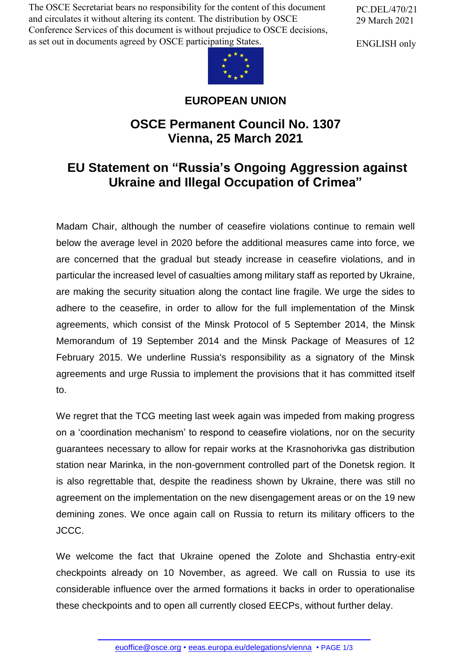The OSCE Secretariat bears no responsibility for the content of this document and circulates it without altering its content. The distribution by OSCE Conference Services of this document is without prejudice to OSCE decisions, as set out in documents agreed by OSCE participating States.

PC.DEL/470/21 29 March 2021

ENGLISH only



## **EUROPEAN UNION**

## **OSCE Permanent Council No. 1307 Vienna, 25 March 2021**

## **EU Statement on "Russia's Ongoing Aggression against Ukraine and Illegal Occupation of Crimea"**

Madam Chair, although the number of ceasefire violations continue to remain well below the average level in 2020 before the additional measures came into force, we are concerned that the gradual but steady increase in ceasefire violations, and in particular the increased level of casualties among military staff as reported by Ukraine, are making the security situation along the contact line fragile. We urge the sides to adhere to the ceasefire, in order to allow for the full implementation of the Minsk agreements, which consist of the Minsk Protocol of 5 September 2014, the Minsk Memorandum of 19 September 2014 and the Minsk Package of Measures of 12 February 2015. We underline Russia's responsibility as a signatory of the Minsk agreements and urge Russia to implement the provisions that it has committed itself to.

We regret that the TCG meeting last week again was impeded from making progress on a 'coordination mechanism' to respond to ceasefire violations, nor on the security guarantees necessary to allow for repair works at the Krasnohorivka gas distribution station near Marinka, in the non-government controlled part of the Donetsk region. It is also regrettable that, despite the readiness shown by Ukraine, there was still no agreement on the implementation on the new disengagement areas or on the 19 new demining zones. We once again call on Russia to return its military officers to the JCCC.

We welcome the fact that Ukraine opened the Zolote and Shchastia entry-exit checkpoints already on 10 November, as agreed. We call on Russia to use its considerable influence over the armed formations it backs in order to operationalise these checkpoints and to open all currently closed EECPs, without further delay.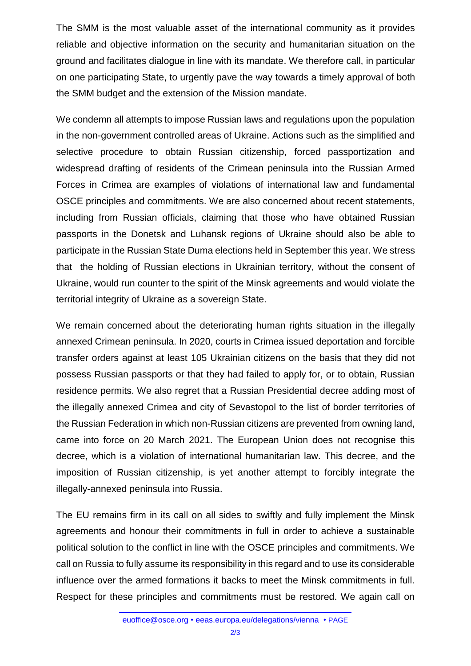The SMM is the most valuable asset of the international community as it provides reliable and objective information on the security and humanitarian situation on the ground and facilitates dialogue in line with its mandate. We therefore call, in particular on one participating State, to urgently pave the way towards a timely approval of both the SMM budget and the extension of the Mission mandate.

We condemn all attempts to impose Russian laws and regulations upon the population in the non-government controlled areas of Ukraine. Actions such as the simplified and selective procedure to obtain Russian citizenship, forced passportization and widespread drafting of residents of the Crimean peninsula into the Russian Armed Forces in Crimea are examples of violations of international law and fundamental OSCE principles and commitments. We are also concerned about recent statements, including from Russian officials, claiming that those who have obtained Russian passports in the Donetsk and Luhansk regions of Ukraine should also be able to participate in the Russian State Duma elections held in September this year. We stress that the holding of Russian elections in Ukrainian territory, without the consent of Ukraine, would run counter to the spirit of the Minsk agreements and would violate the territorial integrity of Ukraine as a sovereign State.

We remain concerned about the deteriorating human rights situation in the illegally annexed Crimean peninsula. In 2020, courts in Crimea issued deportation and forcible transfer orders against at least 105 Ukrainian citizens on the basis that they did not possess Russian passports or that they had failed to apply for, or to obtain, Russian residence permits. We also regret that a Russian Presidential decree adding most of the illegally annexed Crimea and city of Sevastopol to the list of border territories of the Russian Federation in which non-Russian citizens are prevented from owning land, came into force on 20 March 2021. The European Union does not recognise this decree, which is a violation of international humanitarian law. This decree, and the imposition of Russian citizenship, is yet another attempt to forcibly integrate the illegally-annexed peninsula into Russia.

The EU remains firm in its call on all sides to swiftly and fully implement the Minsk agreements and honour their commitments in full in order to achieve a sustainable political solution to the conflict in line with the OSCE principles and commitments. We call on Russia to fully assume its responsibility in this regard and to use its considerable influence over the armed formations it backs to meet the Minsk commitments in full. Respect for these principles and commitments must be restored. We again call on